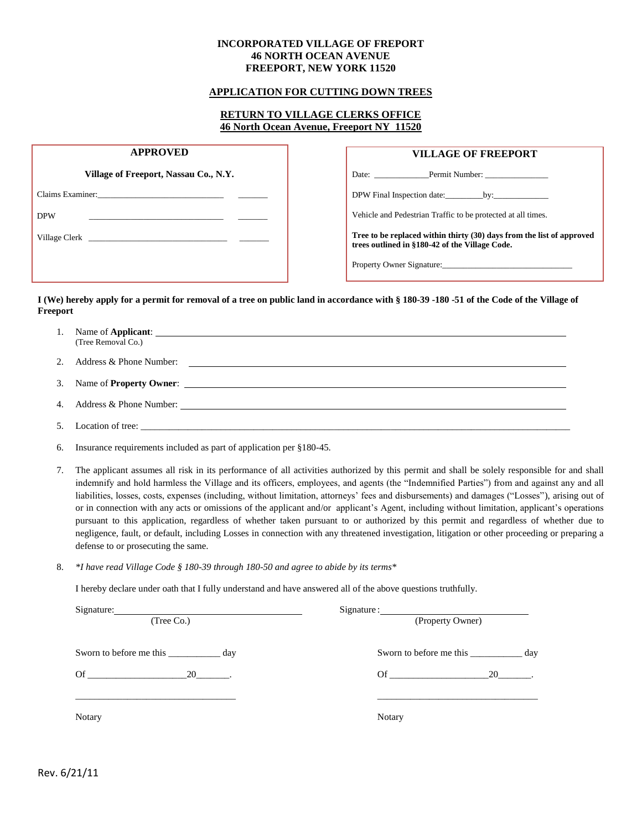#### **INCORPORATED VILLAGE OF FREPORT 46 NORTH OCEAN AVENUE FREEPORT, NEW YORK 11520**

#### **APPLICATION FOR CUTTING DOWN TREES**

### **RETURN TO VILLAGE CLERKS OFFICE 46 North Ocean Avenue, Freeport NY 11520**

| <b>APPROVED</b>                                                                                                 | <b>VILLAGE OF FREEPORT</b>                                                                                              |
|-----------------------------------------------------------------------------------------------------------------|-------------------------------------------------------------------------------------------------------------------------|
| Village of Freeport, Nassau Co., N.Y.                                                                           | Date:                                                                                                                   |
|                                                                                                                 |                                                                                                                         |
| <b>DPW</b>                                                                                                      | Vehicle and Pedestrian Traffic to be protected at all times.                                                            |
| Village Clerk The Clerk Contract of the Clerk Contract of the Clerk Contract of the Clerk Contract of the Clerk | Tree to be replaced within thirty (30) days from the list of approved<br>trees outlined in §180-42 of the Village Code. |
|                                                                                                                 |                                                                                                                         |

#### **I (We) hereby apply for a permit for removal of a tree on public land in accordance with § 180-39 -180 -51 of the Code of the Village of Freeport**

| ı. | Name of <b>Applicant</b> :<br>(Tree Removal Co.) |  |
|----|--------------------------------------------------|--|
| ـ. | Address & Phone Number:                          |  |

| Name of <b>Property Owner:</b> |  |
|--------------------------------|--|
|                                |  |
|                                |  |

|  |  |  |  | Address & Phone Number: |  |
|--|--|--|--|-------------------------|--|
|--|--|--|--|-------------------------|--|

- 5. Location of tree:  $\frac{1}{\sqrt{2}}$
- 6. Insurance requirements included as part of application per §180-45.
- 7. The applicant assumes all risk in its performance of all activities authorized by this permit and shall be solely responsible for and shall indemnify and hold harmless the Village and its officers, employees, and agents (the "Indemnified Parties") from and against any and all liabilities, losses, costs, expenses (including, without limitation, attorneys' fees and disbursements) and damages ("Losses"), arising out of or in connection with any acts or omissions of the applicant and/or applicant's Agent, including without limitation, applicant's operations pursuant to this application, regardless of whether taken pursuant to or authorized by this permit and regardless of whether due to negligence, fault, or default, including Losses in connection with any threatened investigation, litigation or other proceeding or preparing a defense to or prosecuting the same.
- 8. *\*I have read Village Code § 180-39 through 180-50 and agree to abide by its terms\**

I hereby declare under oath that I fully understand and have answered all of the above questions truthfully.

| (Tree Co.)                  | (Property Owner)            |
|-----------------------------|-----------------------------|
| Sworn to before me this day | Sworn to before me this day |
|                             |                             |
| Of $20$ .                   | $\overline{\text{Of}}$      |
|                             |                             |
| Notary                      | <b>Notary</b>               |